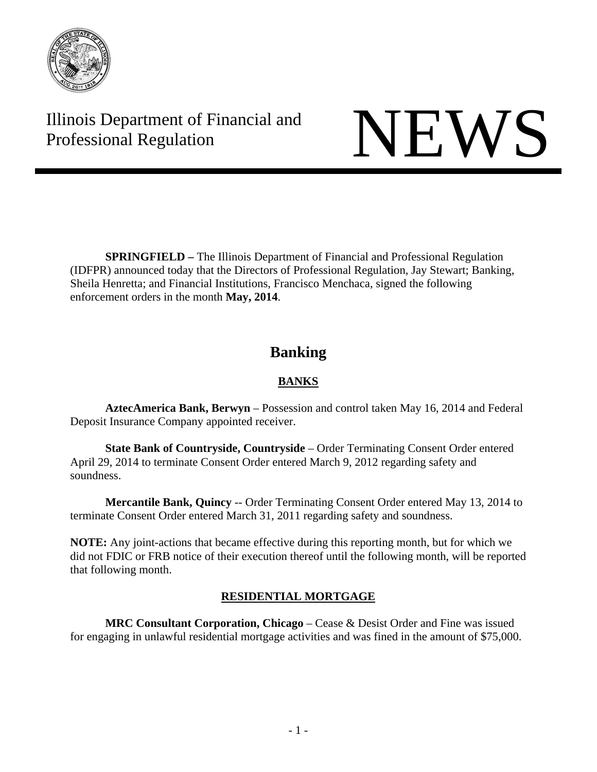

Illinois Department of Financial and Illinois Department of Financial and<br>Professional Regulation

**SPRINGFIELD** – The Illinois Department of Financial and Professional Regulation (IDFPR) announced today that the Directors of Professional Regulation, Jay Stewart; Banking, Sheila Henretta; and Financial Institutions, Francisco Menchaca, signed the following enforcement orders in the month **May, 2014**.

# **Banking**

# **BANKS**

 **AztecAmerica Bank, Berwyn** – Possession and control taken May 16, 2014 and Federal Deposit Insurance Company appointed receiver.

 **State Bank of Countryside, Countryside** – Order Terminating Consent Order entered April 29, 2014 to terminate Consent Order entered March 9, 2012 regarding safety and soundness.

 **Mercantile Bank, Quincy** -- Order Terminating Consent Order entered May 13, 2014 to terminate Consent Order entered March 31, 2011 regarding safety and soundness.

**NOTE:** Any joint-actions that became effective during this reporting month, but for which we did not FDIC or FRB notice of their execution thereof until the following month, will be reported that following month.

# **RESIDENTIAL MORTGAGE**

 **MRC Consultant Corporation, Chicago** – Cease & Desist Order and Fine was issued for engaging in unlawful residential mortgage activities and was fined in the amount of \$75,000.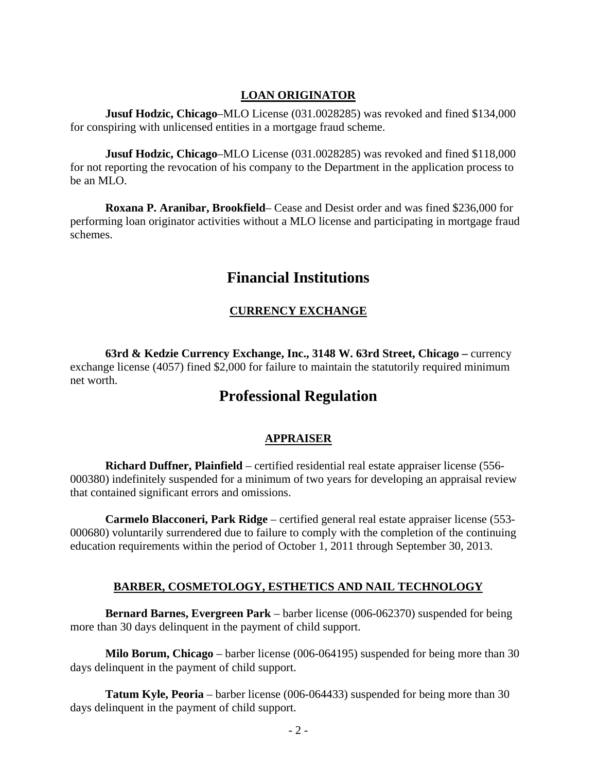#### **LOAN ORIGINATOR**

 **Jusuf Hodzic, Chicago**–MLO License (031.0028285) was revoked and fined \$134,000 for conspiring with unlicensed entities in a mortgage fraud scheme.

 **Jusuf Hodzic, Chicago**–MLO License (031.0028285) was revoked and fined \$118,000 for not reporting the revocation of his company to the Department in the application process to be an MLO.

 **Roxana P. Aranibar, Brookfield**– Cease and Desist order and was fined \$236,000 for performing loan originator activities without a MLO license and participating in mortgage fraud schemes.

# **Financial Institutions**

# **CURRENCY EXCHANGE**

**63rd & Kedzie Currency Exchange, Inc., 3148 W. 63rd Street, Chicago – currency** exchange license (4057) fined \$2,000 for failure to maintain the statutorily required minimum net worth.

# **Professional Regulation**

# **APPRAISER**

**Richard Duffner, Plainfield** – certified residential real estate appraiser license (556- 000380) indefinitely suspended for a minimum of two years for developing an appraisal review that contained significant errors and omissions.

**Carmelo Blacconeri, Park Ridge** – certified general real estate appraiser license (553- 000680) voluntarily surrendered due to failure to comply with the completion of the continuing education requirements within the period of October 1, 2011 through September 30, 2013.

# **BARBER, COSMETOLOGY, ESTHETICS AND NAIL TECHNOLOGY**

**Bernard Barnes, Evergreen Park** – barber license (006-062370) suspended for being more than 30 days delinquent in the payment of child support.

**Milo Borum, Chicago** – barber license (006-064195) suspended for being more than 30 days delinquent in the payment of child support.

**Tatum Kyle, Peoria** – barber license (006-064433) suspended for being more than 30 days delinquent in the payment of child support.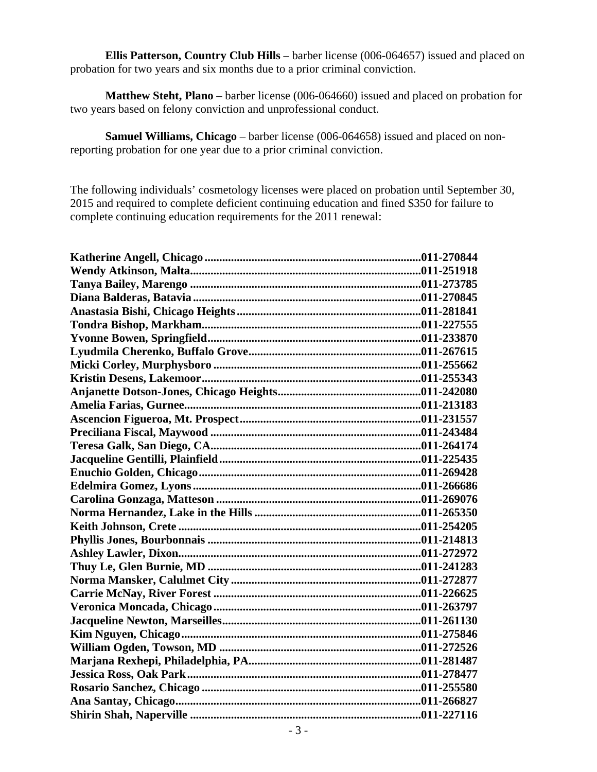**Ellis Patterson, Country Club Hills** – barber license (006-064657) issued and placed on probation for two years and six months due to a prior criminal conviction.

**Matthew Steht, Plano** – barber license (006-064660) issued and placed on probation for two years based on felony conviction and unprofessional conduct.

**Samuel Williams, Chicago** – barber license (006-064658) issued and placed on nonreporting probation for one year due to a prior criminal conviction.

The following individuals' cosmetology licenses were placed on probation until September 30, 2015 and required to complete deficient continuing education and fined \$350 for failure to complete continuing education requirements for the 2011 renewal: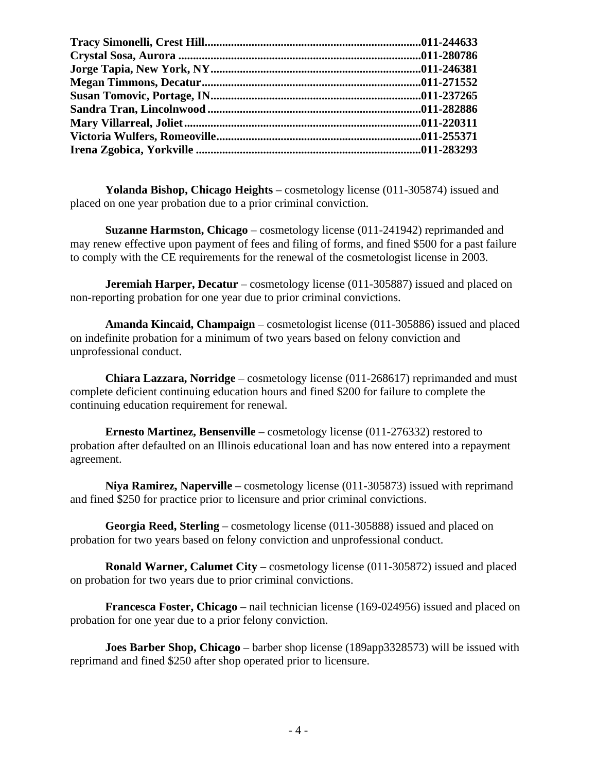**Yolanda Bishop, Chicago Heights** – cosmetology license (011-305874) issued and placed on one year probation due to a prior criminal conviction.

**Suzanne Harmston, Chicago** – cosmetology license (011-241942) reprimanded and may renew effective upon payment of fees and filing of forms, and fined \$500 for a past failure to comply with the CE requirements for the renewal of the cosmetologist license in 2003.

**Jeremiah Harper, Decatur** – cosmetology license (011-305887) issued and placed on non-reporting probation for one year due to prior criminal convictions.

**Amanda Kincaid, Champaign** – cosmetologist license (011-305886) issued and placed on indefinite probation for a minimum of two years based on felony conviction and unprofessional conduct.

**Chiara Lazzara, Norridge** – cosmetology license (011-268617) reprimanded and must complete deficient continuing education hours and fined \$200 for failure to complete the continuing education requirement for renewal.

**Ernesto Martinez, Bensenville** – cosmetology license (011-276332) restored to probation after defaulted on an Illinois educational loan and has now entered into a repayment agreement.

**Niya Ramirez, Naperville** – cosmetology license (011-305873) issued with reprimand and fined \$250 for practice prior to licensure and prior criminal convictions.

**Georgia Reed, Sterling** – cosmetology license (011-305888) issued and placed on probation for two years based on felony conviction and unprofessional conduct.

**Ronald Warner, Calumet City** – cosmetology license (011-305872) issued and placed on probation for two years due to prior criminal convictions.

**Francesca Foster, Chicago** – nail technician license (169-024956) issued and placed on probation for one year due to a prior felony conviction.

**Joes Barber Shop, Chicago** – barber shop license (189app3328573) will be issued with reprimand and fined \$250 after shop operated prior to licensure.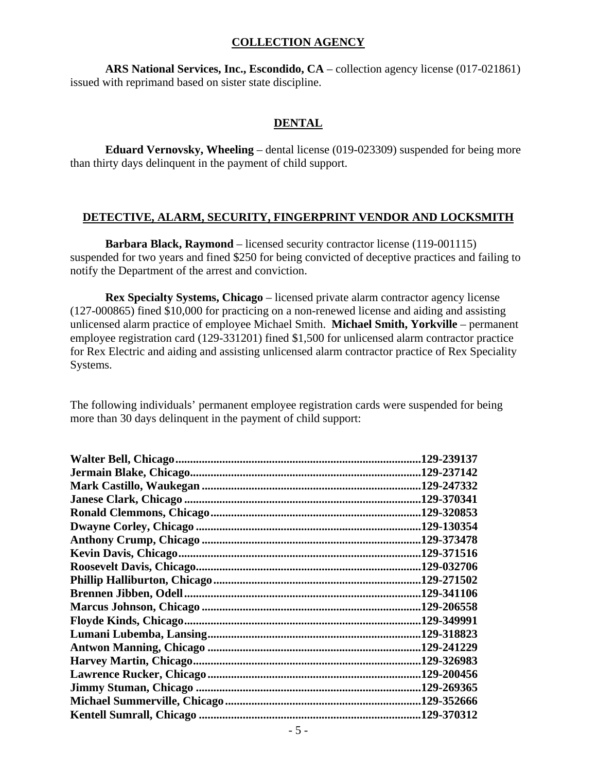### **COLLECTION AGENCY**

**ARS National Services, Inc., Escondido, CA** – collection agency license (017-021861) issued with reprimand based on sister state discipline.

#### **DENTAL**

 **Eduard Vernovsky, Wheeling** – dental license (019-023309) suspended for being more than thirty days delinquent in the payment of child support.

# **DETECTIVE, ALARM, SECURITY, FINGERPRINT VENDOR AND LOCKSMITH**

**Barbara Black, Raymond** – licensed security contractor license (119-001115) suspended for two years and fined \$250 for being convicted of deceptive practices and failing to notify the Department of the arrest and conviction.

**Rex Specialty Systems, Chicago** – licensed private alarm contractor agency license (127-000865) fined \$10,000 for practicing on a non-renewed license and aiding and assisting unlicensed alarm practice of employee Michael Smith. **Michael Smith, Yorkville** – permanent employee registration card (129-331201) fined \$1,500 for unlicensed alarm contractor practice for Rex Electric and aiding and assisting unlicensed alarm contractor practice of Rex Speciality Systems.

The following individuals' permanent employee registration cards were suspended for being more than 30 days delinquent in the payment of child support:

| 129-239137  |
|-------------|
| .129-237142 |
| .129-247332 |
| .129-370341 |
| .129-320853 |
| 129-130354. |
| .129-373478 |
| .129-371516 |
| .129-032706 |
| .129-271502 |
| .129-341106 |
| .129-206558 |
| .129-349991 |
| .129-318823 |
| .129-241229 |
| .129-326983 |
| .129-200456 |
| .129-269365 |
| .129-352666 |
| .129-370312 |
|             |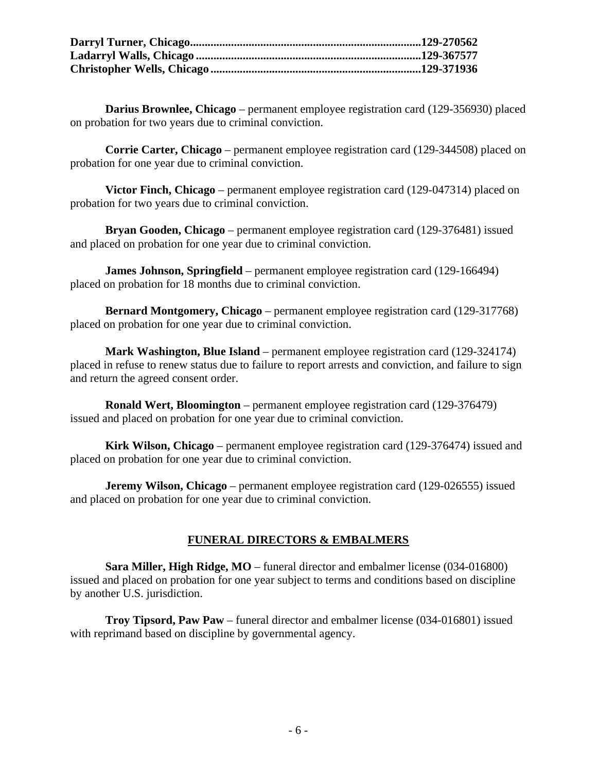**Darius Brownlee, Chicago** – permanent employee registration card (129-356930) placed on probation for two years due to criminal conviction.

**Corrie Carter, Chicago** – permanent employee registration card (129-344508) placed on probation for one year due to criminal conviction.

**Victor Finch, Chicago** – permanent employee registration card (129-047314) placed on probation for two years due to criminal conviction.

**Bryan Gooden, Chicago** – permanent employee registration card (129-376481) issued and placed on probation for one year due to criminal conviction.

**James Johnson, Springfield** – permanent employee registration card (129-166494) placed on probation for 18 months due to criminal conviction.

**Bernard Montgomery, Chicago** – permanent employee registration card (129-317768) placed on probation for one year due to criminal conviction.

**Mark Washington, Blue Island** – permanent employee registration card (129-324174) placed in refuse to renew status due to failure to report arrests and conviction, and failure to sign and return the agreed consent order.

**Ronald Wert, Bloomington** – permanent employee registration card (129-376479) issued and placed on probation for one year due to criminal conviction.

**Kirk Wilson, Chicago** – permanent employee registration card (129-376474) issued and placed on probation for one year due to criminal conviction.

**Jeremy Wilson, Chicago** – permanent employee registration card (129-026555) issued and placed on probation for one year due to criminal conviction.

# **FUNERAL DIRECTORS & EMBALMERS**

**Sara Miller, High Ridge, MO** – funeral director and embalmer license (034-016800) issued and placed on probation for one year subject to terms and conditions based on discipline by another U.S. jurisdiction.

**Troy Tipsord, Paw Paw** – funeral director and embalmer license (034-016801) issued with reprimand based on discipline by governmental agency.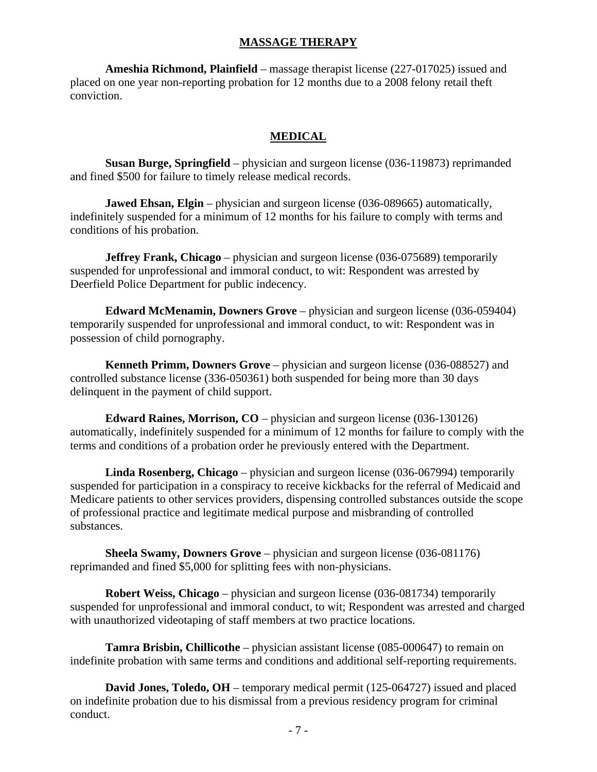#### **MASSAGE THERAPY**

**Ameshia Richmond, Plainfield** – massage therapist license (227-017025) issued and placed on one year non-reporting probation for 12 months due to a 2008 felony retail theft conviction.

#### **MEDICAL**

**Susan Burge, Springfield** – physician and surgeon license (036-119873) reprimanded and fined \$500 for failure to timely release medical records.

**Jawed Ehsan, Elgin** – physician and surgeon license (036-089665) automatically, indefinitely suspended for a minimum of 12 months for his failure to comply with terms and conditions of his probation.

**Jeffrey Frank, Chicago** – physician and surgeon license (036-075689) temporarily suspended for unprofessional and immoral conduct, to wit: Respondent was arrested by Deerfield Police Department for public indecency.

**Edward McMenamin, Downers Grove** – physician and surgeon license (036-059404) temporarily suspended for unprofessional and immoral conduct, to wit: Respondent was in possession of child pornography.

**Kenneth Primm, Downers Grove** – physician and surgeon license (036-088527) and controlled substance license (336-050361) both suspended for being more than 30 days delinquent in the payment of child support.

**Edward Raines, Morrison, CO** – physician and surgeon license (036-130126) automatically, indefinitely suspended for a minimum of 12 months for failure to comply with the terms and conditions of a probation order he previously entered with the Department.

**Linda Rosenberg, Chicago** – physician and surgeon license (036-067994) temporarily suspended for participation in a conspiracy to receive kickbacks for the referral of Medicaid and Medicare patients to other services providers, dispensing controlled substances outside the scope of professional practice and legitimate medical purpose and misbranding of controlled substances.

**Sheela Swamy, Downers Grove** – physician and surgeon license (036-081176) reprimanded and fined \$5,000 for splitting fees with non-physicians.

**Robert Weiss, Chicago** – physician and surgeon license (036-081734) temporarily suspended for unprofessional and immoral conduct, to wit; Respondent was arrested and charged with unauthorized videotaping of staff members at two practice locations.

**Tamra Brisbin, Chillicothe** – physician assistant license (085-000647) to remain on indefinite probation with same terms and conditions and additional self-reporting requirements.

**David Jones, Toledo, OH** – temporary medical permit (125-064727) issued and placed on indefinite probation due to his dismissal from a previous residency program for criminal conduct.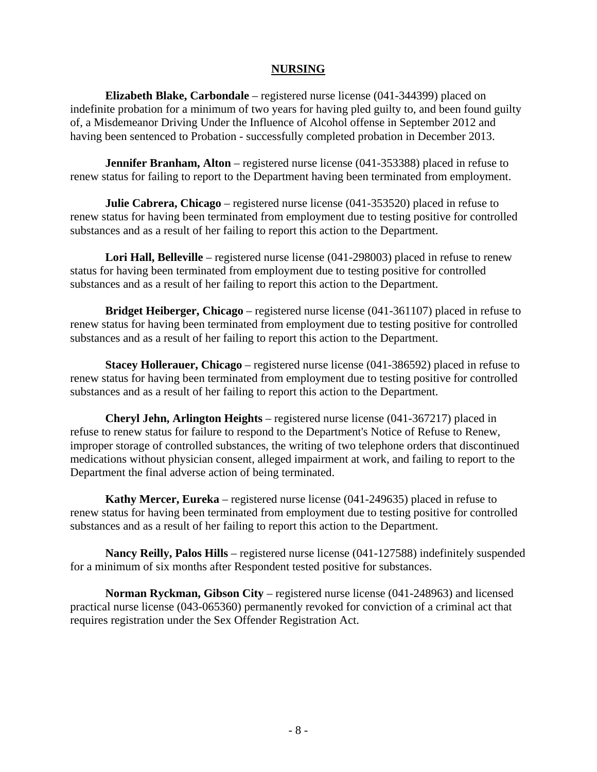### **NURSING**

**Elizabeth Blake, Carbondale** – registered nurse license (041-344399) placed on indefinite probation for a minimum of two years for having pled guilty to, and been found guilty of, a Misdemeanor Driving Under the Influence of Alcohol offense in September 2012 and having been sentenced to Probation - successfully completed probation in December 2013.

**Jennifer Branham, Alton** – registered nurse license (041-353388) placed in refuse to renew status for failing to report to the Department having been terminated from employment.

**Julie Cabrera, Chicago** – registered nurse license (041-353520) placed in refuse to renew status for having been terminated from employment due to testing positive for controlled substances and as a result of her failing to report this action to the Department.

**Lori Hall, Belleville** – registered nurse license (041-298003) placed in refuse to renew status for having been terminated from employment due to testing positive for controlled substances and as a result of her failing to report this action to the Department.

**Bridget Heiberger, Chicago** – registered nurse license (041-361107) placed in refuse to renew status for having been terminated from employment due to testing positive for controlled substances and as a result of her failing to report this action to the Department.

**Stacey Hollerauer, Chicago** – registered nurse license (041-386592) placed in refuse to renew status for having been terminated from employment due to testing positive for controlled substances and as a result of her failing to report this action to the Department.

**Cheryl Jehn, Arlington Heights** – registered nurse license (041-367217) placed in refuse to renew status for failure to respond to the Department's Notice of Refuse to Renew, improper storage of controlled substances, the writing of two telephone orders that discontinued medications without physician consent, alleged impairment at work, and failing to report to the Department the final adverse action of being terminated.

**Kathy Mercer, Eureka** – registered nurse license (041-249635) placed in refuse to renew status for having been terminated from employment due to testing positive for controlled substances and as a result of her failing to report this action to the Department.

**Nancy Reilly, Palos Hills** – registered nurse license (041-127588) indefinitely suspended for a minimum of six months after Respondent tested positive for substances.

**Norman Ryckman, Gibson City** – registered nurse license (041-248963) and licensed practical nurse license (043-065360) permanently revoked for conviction of a criminal act that requires registration under the Sex Offender Registration Act.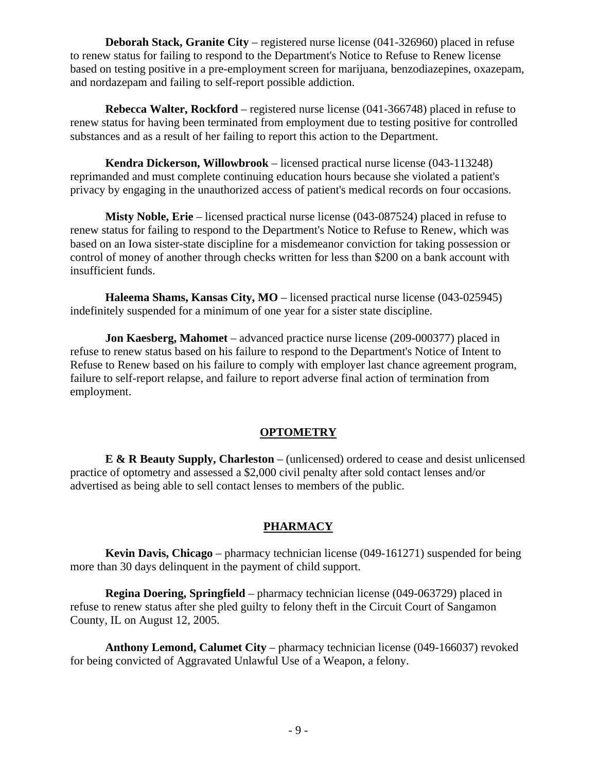**Deborah Stack, Granite City** – registered nurse license (041-326960) placed in refuse to renew status for failing to respond to the Department's Notice to Refuse to Renew license based on testing positive in a pre-employment screen for marijuana, benzodiazepines, oxazepam, and nordazepam and failing to self-report possible addiction.

**Rebecca Walter, Rockford** – registered nurse license (041-366748) placed in refuse to renew status for having been terminated from employment due to testing positive for controlled substances and as a result of her failing to report this action to the Department.

**Kendra Dickerson, Willowbrook** – licensed practical nurse license (043-113248) reprimanded and must complete continuing education hours because she violated a patient's privacy by engaging in the unauthorized access of patient's medical records on four occasions.

**Misty Noble, Erie** – licensed practical nurse license (043-087524) placed in refuse to renew status for failing to respond to the Department's Notice to Refuse to Renew, which was based on an Iowa sister-state discipline for a misdemeanor conviction for taking possession or control of money of another through checks written for less than \$200 on a bank account with insufficient funds.

**Haleema Shams, Kansas City, MO** – licensed practical nurse license (043-025945) indefinitely suspended for a minimum of one year for a sister state discipline.

**Jon Kaesberg, Mahomet** – advanced practice nurse license (209-000377) placed in refuse to renew status based on his failure to respond to the Department's Notice of Intent to Refuse to Renew based on his failure to comply with employer last chance agreement program, failure to self-report relapse, and failure to report adverse final action of termination from employment.

# **OPTOMETRY**

**E & R Beauty Supply, Charleston** – (unlicensed) ordered to cease and desist unlicensed practice of optometry and assessed a \$2,000 civil penalty after sold contact lenses and/or advertised as being able to sell contact lenses to members of the public.

# **PHARMACY**

**Kevin Davis, Chicago** – pharmacy technician license (049-161271) suspended for being more than 30 days delinquent in the payment of child support.

**Regina Doering, Springfield** – pharmacy technician license (049-063729) placed in refuse to renew status after she pled guilty to felony theft in the Circuit Court of Sangamon County, IL on August 12, 2005.

**Anthony Lemond, Calumet City** – pharmacy technician license (049-166037) revoked for being convicted of Aggravated Unlawful Use of a Weapon, a felony.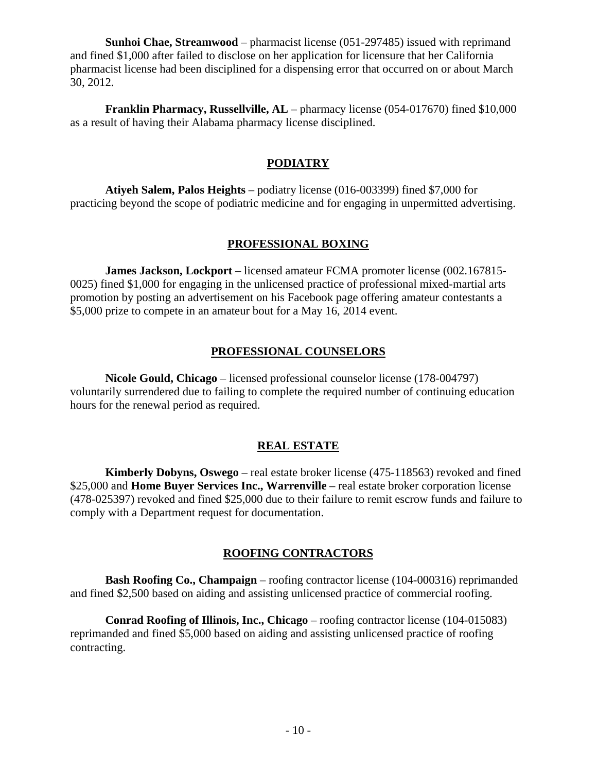**Sunhoi Chae, Streamwood** – pharmacist license (051-297485) issued with reprimand and fined \$1,000 after failed to disclose on her application for licensure that her California pharmacist license had been disciplined for a dispensing error that occurred on or about March 30, 2012.

**Franklin Pharmacy, Russellville, AL** – pharmacy license (054-017670) fined \$10,000 as a result of having their Alabama pharmacy license disciplined.

# **PODIATRY**

**Atiyeh Salem, Palos Heights** – podiatry license (016-003399) fined \$7,000 for practicing beyond the scope of podiatric medicine and for engaging in unpermitted advertising.

# **PROFESSIONAL BOXING**

**James Jackson, Lockport** – licensed amateur FCMA promoter license (002.167815- 0025) fined \$1,000 for engaging in the unlicensed practice of professional mixed-martial arts promotion by posting an advertisement on his Facebook page offering amateur contestants a \$5,000 prize to compete in an amateur bout for a May 16, 2014 event.

# **PROFESSIONAL COUNSELORS**

**Nicole Gould, Chicago** – licensed professional counselor license (178-004797) voluntarily surrendered due to failing to complete the required number of continuing education hours for the renewal period as required.

# **REAL ESTATE**

**Kimberly Dobyns, Oswego** – real estate broker license (475-118563) revoked and fined \$25,000 and **Home Buyer Services Inc., Warrenville** – real estate broker corporation license (478-025397) revoked and fined \$25,000 due to their failure to remit escrow funds and failure to comply with a Department request for documentation.

# **ROOFING CONTRACTORS**

**Bash Roofing Co., Champaign** – roofing contractor license (104-000316) reprimanded and fined \$2,500 based on aiding and assisting unlicensed practice of commercial roofing.

**Conrad Roofing of Illinois, Inc., Chicago** – roofing contractor license (104-015083) reprimanded and fined \$5,000 based on aiding and assisting unlicensed practice of roofing contracting.